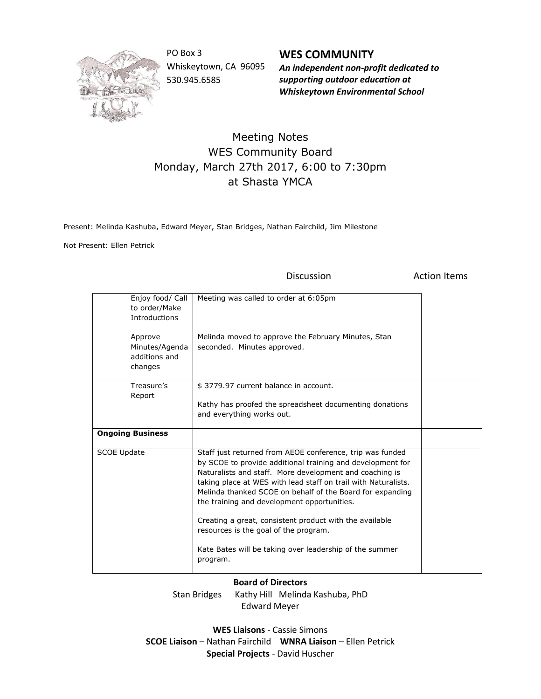

PO Box 3 Whiskeytown, CA 96095 530.945.6585

**WES COMMUNITY** *An independent non-profit dedicated to supporting outdoor education at Whiskeytown Environmental School*

## Meeting Notes WES Community Board Monday, March 27th 2017, 6:00 to 7:30pm at Shasta YMCA

Present: Melinda Kashuba, Edward Meyer, Stan Bridges, Nathan Fairchild, Jim Milestone

Not Present: Ellen Petrick

Discussion **Action** Items

| Enjoy food/ Call<br>to order/Make<br><b>Introductions</b> | Meeting was called to order at 6:05pm                                                                                                                                                                                                                                                                                                                                                                                                                                                                                                       |  |
|-----------------------------------------------------------|---------------------------------------------------------------------------------------------------------------------------------------------------------------------------------------------------------------------------------------------------------------------------------------------------------------------------------------------------------------------------------------------------------------------------------------------------------------------------------------------------------------------------------------------|--|
| Approve<br>Minutes/Agenda<br>additions and<br>changes     | Melinda moved to approve the February Minutes, Stan<br>seconded. Minutes approved.                                                                                                                                                                                                                                                                                                                                                                                                                                                          |  |
| Treasure's<br>Report                                      | \$3779.97 current balance in account.<br>Kathy has proofed the spreadsheet documenting donations<br>and everything works out.                                                                                                                                                                                                                                                                                                                                                                                                               |  |
| <b>Ongoing Business</b>                                   |                                                                                                                                                                                                                                                                                                                                                                                                                                                                                                                                             |  |
| <b>SCOE Update</b>                                        | Staff just returned from AEOE conference, trip was funded<br>by SCOE to provide additional training and development for<br>Naturalists and staff. More development and coaching is<br>taking place at WES with lead staff on trail with Naturalists.<br>Melinda thanked SCOE on behalf of the Board for expanding<br>the training and development opportunities.<br>Creating a great, consistent product with the available<br>resources is the goal of the program.<br>Kate Bates will be taking over leadership of the summer<br>program. |  |

## **Board of Directors**

Stan Bridges Kathy Hill Melinda Kashuba, PhD Edward Meyer

**WES Liaisons** - Cassie Simons **SCOE Liaison** – Nathan Fairchild **WNRA Liaison** – Ellen Petrick **Special Projects** - David Huscher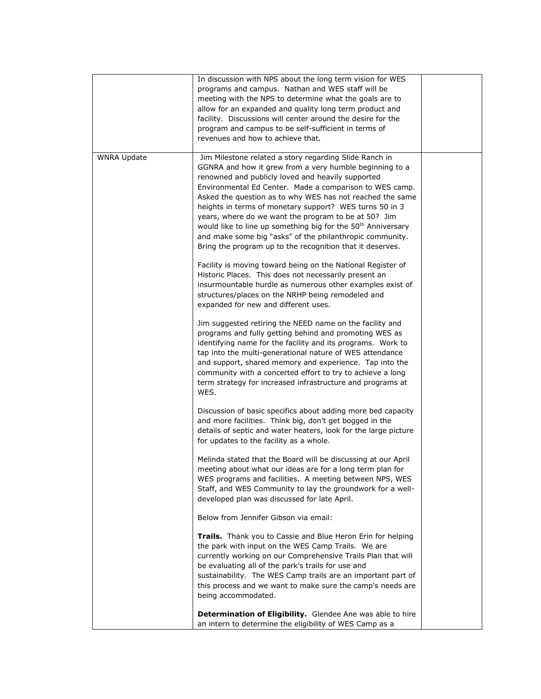|                    | In discussion with NPS about the long term vision for WES<br>programs and campus. Nathan and WES staff will be<br>meeting with the NPS to determine what the goals are to<br>allow for an expanded and quality long term product and<br>facility. Discussions will center around the desire for the<br>program and campus to be self-sufficient in terms of<br>revenues and how to achieve that.                                                                                                                                                                                                                       |  |
|--------------------|------------------------------------------------------------------------------------------------------------------------------------------------------------------------------------------------------------------------------------------------------------------------------------------------------------------------------------------------------------------------------------------------------------------------------------------------------------------------------------------------------------------------------------------------------------------------------------------------------------------------|--|
| <b>WNRA Update</b> | Jim Milestone related a story regarding Slide Ranch in<br>GGNRA and how it grew from a very humble beginning to a<br>renowned and publicly loved and heavily supported<br>Environmental Ed Center. Made a comparison to WES camp.<br>Asked the question as to why WES has not reached the same<br>heights in terms of monetary support? WES turns 50 in 3<br>years, where do we want the program to be at 50? Jim<br>would like to line up something big for the 50 <sup>th</sup> Anniversary<br>and make some big "asks" of the philanthropic community.<br>Bring the program up to the recognition that it deserves. |  |
|                    | Facility is moving toward being on the National Register of<br>Historic Places. This does not necessarily present an<br>insurmountable hurdle as numerous other examples exist of<br>structures/places on the NRHP being remodeled and<br>expanded for new and different uses.                                                                                                                                                                                                                                                                                                                                         |  |
|                    | Jim suggested retiring the NEED name on the facility and<br>programs and fully getting behind and promoting WES as<br>identifying name for the facility and its programs. Work to<br>tap into the multi-generational nature of WES attendance<br>and support, shared memory and experience. Tap into the<br>community with a concerted effort to try to achieve a long<br>term strategy for increased infrastructure and programs at<br>WES.                                                                                                                                                                           |  |
|                    | Discussion of basic specifics about adding more bed capacity<br>and more facilities. Think big, don't get bogged in the<br>details of septic and water heaters, look for the large picture<br>for updates to the facility as a whole.                                                                                                                                                                                                                                                                                                                                                                                  |  |
|                    | Melinda stated that the Board will be discussing at our April<br>meeting about what our ideas are for a long term plan for<br>WES programs and facilities. A meeting between NPS, WES<br>Staff, and WES Community to lay the groundwork for a well-<br>developed plan was discussed for late April.                                                                                                                                                                                                                                                                                                                    |  |
|                    | Below from Jennifer Gibson via email:                                                                                                                                                                                                                                                                                                                                                                                                                                                                                                                                                                                  |  |
|                    | Trails. Thank you to Cassie and Blue Heron Erin for helping<br>the park with input on the WES Camp Trails. We are<br>currently working on our Comprehensive Trails Plan that will<br>be evaluating all of the park's trails for use and<br>sustainability. The WES Camp trails are an important part of<br>this process and we want to make sure the camp's needs are<br>being accommodated.                                                                                                                                                                                                                           |  |
|                    | Determination of Eligibility. Glendee Ane was able to hire<br>an intern to determine the eligibility of WES Camp as a                                                                                                                                                                                                                                                                                                                                                                                                                                                                                                  |  |